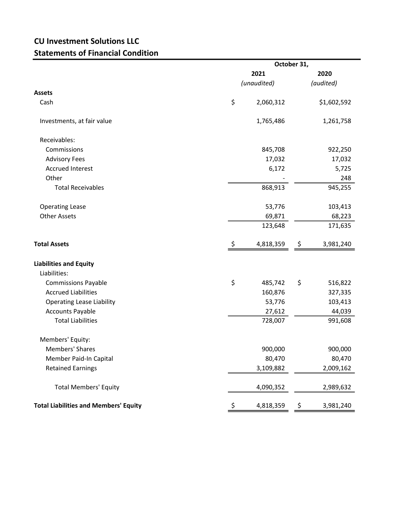## CU Investment Solutions LLC Statements of Financial Condition

|                                              | October 31, |             |    |             |
|----------------------------------------------|-------------|-------------|----|-------------|
|                                              |             | 2021        |    | 2020        |
|                                              |             | (unaudited) |    | (audited)   |
| <b>Assets</b>                                |             |             |    |             |
| Cash                                         | \$          | 2,060,312   |    | \$1,602,592 |
| Investments, at fair value                   |             | 1,765,486   |    | 1,261,758   |
| Receivables:                                 |             |             |    |             |
| Commissions                                  |             | 845,708     |    | 922,250     |
| <b>Advisory Fees</b>                         |             | 17,032      |    | 17,032      |
| <b>Accrued Interest</b>                      |             | 6,172       |    | 5,725       |
| Other                                        |             |             |    | 248         |
| <b>Total Receivables</b>                     |             | 868,913     |    | 945,255     |
| <b>Operating Lease</b>                       |             | 53,776      |    | 103,413     |
| <b>Other Assets</b>                          |             | 69,871      |    | 68,223      |
|                                              |             | 123,648     |    | 171,635     |
| <b>Total Assets</b>                          | \$          | 4,818,359   | \$ | 3,981,240   |
| <b>Liabilities and Equity</b>                |             |             |    |             |
| Liabilities:                                 |             |             |    |             |
| <b>Commissions Payable</b>                   | \$          | 485,742     | \$ | 516,822     |
| <b>Accrued Liabilities</b>                   |             | 160,876     |    | 327,335     |
| <b>Operating Lease Liability</b>             |             | 53,776      |    | 103,413     |
| <b>Accounts Payable</b>                      |             | 27,612      |    | 44,039      |
| <b>Total Liabilities</b>                     |             | 728,007     |    | 991,608     |
| Members' Equity:                             |             |             |    |             |
| Members' Shares                              |             | 900,000     |    | 900,000     |
| Member Paid-In Capital                       |             | 80,470      |    | 80,470      |
| <b>Retained Earnings</b>                     |             | 3,109,882   |    | 2,009,162   |
| <b>Total Members' Equity</b>                 |             | 4,090,352   |    | 2,989,632   |
| <b>Total Liabilities and Members' Equity</b> | \$,         | 4,818,359   | \$ | 3,981,240   |